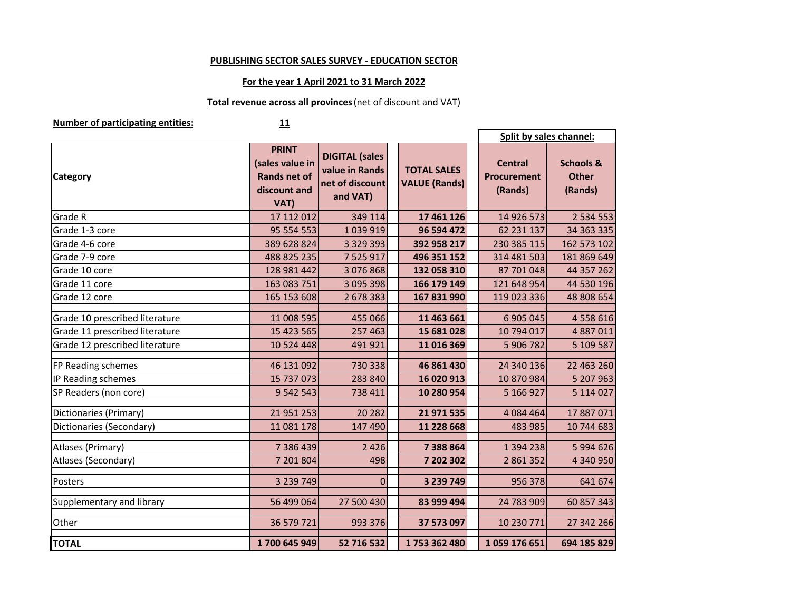### **PUBLISHING SECTOR SALES SURVEY - EDUCATION SECTOR**

### **For the year 1 April 2021 to 31 March 2022**

# **Total revenue across all provinces** (net of discount and VAT)

**Number of participating entities:**

## **<sup>11</sup>**

|                                | Split by sales channel:                                                        |                                                                        |                                            |  |                                                 |                                                 |
|--------------------------------|--------------------------------------------------------------------------------|------------------------------------------------------------------------|--------------------------------------------|--|-------------------------------------------------|-------------------------------------------------|
| <b>Category</b>                | <b>PRINT</b><br>(sales value in<br><b>Rands net of</b><br>discount and<br>VAT) | <b>DIGITAL</b> (sales<br>value in Rands<br>net of discount<br>and VAT) | <b>TOTAL SALES</b><br><b>VALUE (Rands)</b> |  | <b>Central</b><br><b>Procurement</b><br>(Rands) | <b>Schools &amp;</b><br><b>Other</b><br>(Rands) |
| <b>Grade R</b>                 | 17 112 012                                                                     | 349 114                                                                | 17 461 126                                 |  | 14 926 573                                      | 2 5 3 4 5 5 3                                   |
| Grade 1-3 core                 | 95 554 553                                                                     | 1039919                                                                | 96 594 472                                 |  | 62 231 137                                      | 34 363 335                                      |
| Grade 4-6 core                 | 389 628 824                                                                    | 3 3 2 9 3 9 3                                                          | 392 958 217                                |  | 230 385 115                                     | 162 573 102                                     |
| Grade 7-9 core                 | 488 825 235                                                                    | 7 525 917                                                              | 496 351 152                                |  | 314 481 503                                     | 181 869 649                                     |
| Grade 10 core                  | 128 981 442                                                                    | 3 076 868                                                              | 132 058 310                                |  | 87 701 048                                      | 44 357 262                                      |
| Grade 11 core                  | 163 083 751                                                                    | 3 095 398                                                              | 166 179 149                                |  | 121 648 954                                     | 44 530 196                                      |
| Grade 12 core                  | 165 153 608                                                                    | 2 678 383                                                              | 167 831 990                                |  | 119 023 336                                     | 48 808 654                                      |
| Grade 10 prescribed literature | 11 008 595                                                                     | 455 066                                                                | 11 463 661                                 |  | 6 905 045                                       | 4 5 5 8 6 1 6                                   |
| Grade 11 prescribed literature | 15 423 565                                                                     | 257 463                                                                | 15 681 028                                 |  | 10 794 017                                      | 4 887 011                                       |
| Grade 12 prescribed literature | 10 524 448                                                                     | 491 921                                                                | 11 016 369                                 |  | 5 906 782                                       | 5 109 587                                       |
| FP Reading schemes             | 46 131 092                                                                     | 730 338                                                                | 46 861 430                                 |  | 24 340 136                                      | 22 463 260                                      |
| IP Reading schemes             | 15 737 073                                                                     | 283 840                                                                | 16 020 913                                 |  | 10 870 984                                      | 5 207 963                                       |
| SP Readers (non core)          | 9 542 543                                                                      | 738 411                                                                | 10 280 954                                 |  | 5 166 927                                       | 5 114 027                                       |
| Dictionaries (Primary)         | 21 951 253                                                                     | 20 28 2                                                                | 21 971 535                                 |  | 4 084 464                                       | 17 887 071                                      |
| Dictionaries (Secondary)       | 11 081 178                                                                     | 147 490                                                                | 11 228 668                                 |  | 483 985                                         | 10 744 683                                      |
| Atlases (Primary)              | 7 386 439                                                                      | 2 4 2 6                                                                | 7 388 864                                  |  | 1 394 238                                       | 5 994 626                                       |
| Atlases (Secondary)            | 7 201 804                                                                      | 498                                                                    | 7 202 302                                  |  | 2 861 352                                       | 4 340 950                                       |
| Posters                        | 3 239 749                                                                      | $\Omega$                                                               | 3 239 749                                  |  | 956 378                                         | 641 674                                         |
| Supplementary and library      | 56 499 064                                                                     | 27 500 430                                                             | 83 999 494                                 |  | 24 783 909                                      | 60 857 343                                      |
| Other                          | 36 579 721                                                                     | 993 376                                                                | 37 573 097                                 |  | 10 230 771                                      | 27 342 266                                      |
| <b>TOTAL</b>                   | 1700 645 949                                                                   | 52 716 532                                                             | 1753 362 480                               |  | 1059176651                                      | 694 185 829                                     |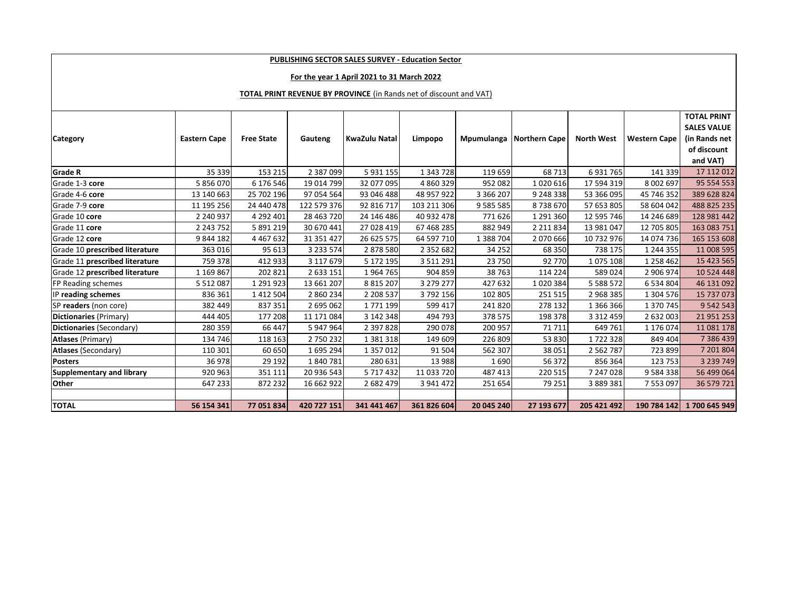### **PUBLISHING SECTOR SALES SURVEY - Education Sector**

### **For the year 1 April 2021 to 31 March 2022**

#### **TOTAL PRINT REVENUE BY PROVINCE** (in Rands net of discount and VAT)

|                                  |                     |                   |               |               |               |               |                      |                   |                     | <b>TOTAL PRINT</b> |
|----------------------------------|---------------------|-------------------|---------------|---------------|---------------|---------------|----------------------|-------------------|---------------------|--------------------|
|                                  |                     |                   |               |               |               |               |                      |                   |                     | <b>SALES VALUE</b> |
| <b>Category</b>                  | <b>Eastern Cape</b> | <b>Free State</b> | Gauteng       | KwaZulu Natal | Limpopo       | Mpumulanga    | <b>Northern Cape</b> | <b>North West</b> | <b>Western Cape</b> | (in Rands net      |
|                                  |                     |                   |               |               |               |               |                      |                   |                     | of discount        |
|                                  |                     |                   |               |               |               |               |                      |                   |                     | and VAT)           |
| <b>Grade R</b>                   | 35 339              | 153 215           | 2 3 8 7 0 9 9 | 5 9 3 1 1 5 5 | 1 343 728     | 119 659       | 68 713               | 6931765           | 141 339             | 17 112 012         |
| Grade 1-3 core                   | 5 856 070           | 6 176 546         | 19 014 799    | 32 077 095    | 4 860 329     | 952 082       | 1020616              | 17 594 319        | 8 002 697           | 95 554 553         |
| Grade 4-6 core                   | 13 140 663          | 25 702 196        | 97 054 564    | 93 046 488    | 48 957 922    | 3 3 6 2 0 7   | 9 248 338            | 53 366 095        | 45 746 352          | 389 628 824        |
| Grade 7-9 core                   | 11 195 256          | 24 440 478        | 122 579 376   | 92 816 717    | 103 211 306   | 9 5 8 5 5 8 5 | 8738670              | 57 653 805        | 58 604 042          | 488 825 235        |
| Grade 10 core                    | 2 240 937           | 4 292 401         | 28 463 720    | 24 146 486    | 40 932 478    | 771626        | 1 291 360            | 12 595 746        | 14 246 689          | 128 981 442        |
| Grade 11 core                    | 2 243 752           | 5 891 219         | 30 670 441    | 27 028 419    | 67 468 285    | 882 949       | 2 2 1 8 3 4          | 13 981 047        | 12 705 805          | 163 083 751        |
| Grade 12 core                    | 9844182             | 4 4 6 7 6 3 2     | 31 351 427    | 26 625 575    | 64 597 710    | 1 388 704     | 2070666              | 10 732 976        | 14 074 736          | 165 153 608        |
| Grade 10 prescribed literature   | 363 016             | 95 613            | 3 2 3 5 7 4   | 2878580       | 2 3 5 2 6 8 2 | 34 25 2       | 68 350               | 738 175           | 1 244 355           | 11 008 595         |
| Grade 11 prescribed literature   | 759 378             | 412 933           | 3 117 679     | 5 172 195     | 3 5 1 1 2 9 1 | 23 750        | 92 770               | 1075 108          | 1 258 462           | 15 423 565         |
| Grade 12 prescribed literature   | 1 169 867           | 202 821           | 2 633 151     | 1964765       | 904 859       | 38763         | 114 224              | 589024            | 2 906 974           | 10 5 24 4 48       |
| <b>FP Reading schemes</b>        | 5 5 1 2 0 8 7       | 1 291 923         | 13 661 207    | 8 8 1 5 2 0 7 | 3 279 277     | 427 632       | 1020384              | 5 5 8 8 5 7 2     | 6 534 804           | 46 131 092         |
| IP reading schemes               | 836 361             | 1 4 1 2 5 0 4     | 2 860 234     | 2 208 537     | 3792156       | 102 805       | 251 515              | 2968385           | 1 304 576           | 15 737 073         |
| SP readers (non core)            | 382 449             | 837 351           | 2 695 062     | 1771199       | 599 417       | 241820        | 278 132              | 1 366 366         | 1 370 745           | 9 542 543          |
| Dictionaries (Primary)           | 444 405             | 177 208           | 11 171 084    | 3 142 348     | 494 793       | 378 575       | 198 378              | 3 3 1 2 4 5 9     | 2 632 003           | 21 951 253         |
| Dictionaries (Secondary)         | 280 359             | 66 447            | 5 947 964     | 2 397 828     | 290 078       | 200 957       | 71711                | 649 761           | 1 176 074           | 11 081 178         |
| <b>Atlases</b> (Primary)         | 134 746             | 118 163           | 2750232       | 1 3 8 1 3 1 8 | 149 609       | 226 809       | 53 830               | 1722328           | 849 404             | 7 386 439          |
| <b>Atlases (Secondary)</b>       | 110 301             | 60 650            | 1695294       | 1 357 012     | 91 504        | 562 307       | 38 051               | 2 5 6 2 7 8 7     | 723 899             | 7 201 804          |
| <b>Posters</b>                   | 36 978              | 29 192            | 1840781       | 280 631       | 13 988        | 1690          | 56 372               | 856 364           | 123 753             | 3 239 749          |
| <b>Supplementary and library</b> | 920 963             | 351 111           | 20 936 543    | 5 7 1 7 4 3 2 | 11 033 720    | 487 413       | 220 515              | 7 247 028         | 9 5 8 4 3 3 8       | 56 499 064         |
| <b>Other</b>                     | 647 233             | 872 232           | 16 662 922    | 2 682 479     | 3 941 472     | 251 654       | 79 251               | 3 889 381         | 7 553 097           | 36 579 721         |
|                                  |                     |                   |               |               |               |               |                      |                   |                     |                    |
| <b>TOTAL</b>                     | 56 154 341          | 77 051 834        | 420 727 151   | 341 441 467   | 361 826 604   | 20 045 240    | 27 193 677           | 205 421 492       | 190 784 142         | 1700 645 949       |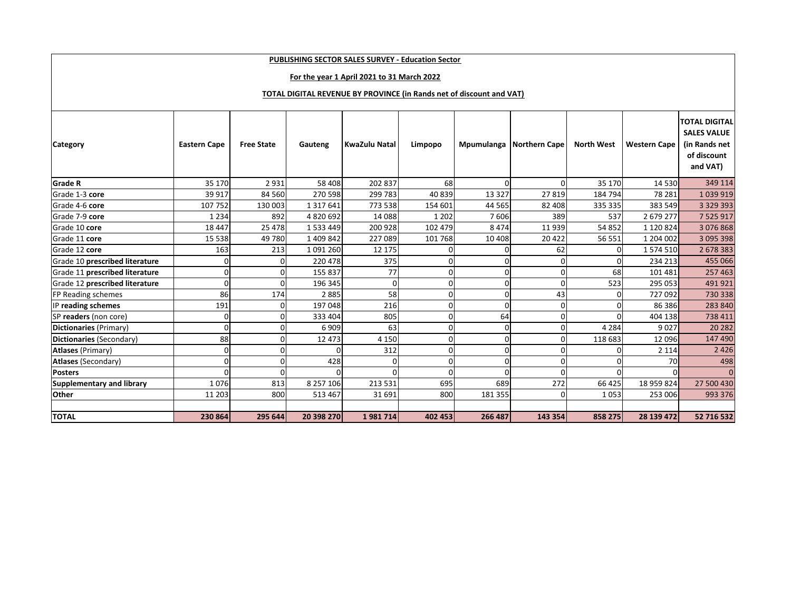| <b>PUBLISHING SECTOR SALES SURVEY - Education Sector</b>             |                     |                   |               |                      |          |            |                      |                   |                     |                                                                                        |
|----------------------------------------------------------------------|---------------------|-------------------|---------------|----------------------|----------|------------|----------------------|-------------------|---------------------|----------------------------------------------------------------------------------------|
| For the year 1 April 2021 to 31 March 2022                           |                     |                   |               |                      |          |            |                      |                   |                     |                                                                                        |
|                                                                      |                     |                   |               |                      |          |            |                      |                   |                     |                                                                                        |
| TOTAL DIGITAL REVENUE BY PROVINCE (in Rands net of discount and VAT) |                     |                   |               |                      |          |            |                      |                   |                     |                                                                                        |
| <b>Category</b>                                                      | <b>Eastern Cape</b> | <b>Free State</b> | Gauteng       | <b>KwaZulu Natal</b> | Limpopo  | Mpumulanga | <b>Northern Cape</b> | <b>North West</b> | <b>Western Cape</b> | <b>TOTAL DIGITAL</b><br><b>SALES VALUE</b><br>(in Rands net<br>of discount<br>and VAT) |
| <b>Grade R</b>                                                       | 35 170              | 2931              | 58 408        | 202 837              | 68       | 0          | 0                    | 35 170            | 14 5 30             | 349 114                                                                                |
| Grade 1-3 core                                                       | 39 917              | 84 560            | 270 598       | 299 783              | 40839    | 13 3 27    | 27819                | 184 794           | 78 281              | 1039919                                                                                |
| Grade 4-6 core                                                       | 107 752             | 130 003           | 1 3 1 7 6 4 1 | 773 538              | 154 601  | 44 5 65    | 82 408               | 335 335           | 383 549             | 3 3 2 9 3 9 3                                                                          |
| Grade 7-9 core                                                       | 1 2 3 4             | 892               | 4820692       | 14 088               | 1 2 0 2  | 7606       | 389                  | 537               | 2 679 277           | 7 5 2 5 9 1 7                                                                          |
| Grade 10 core                                                        | 18 4 47             | 25 478            | 1 5 3 4 4 4 9 | 200 928              | 102 479  | 8474       | 11939                | 54 852            | 1 120 824           | 3 076 868                                                                              |
| Grade 11 core                                                        | 15 5 38             | 49 780            | 1 409 842     | 227 089              | 101 768  | 10 4 08    | 20 4 22              | 56 551            | 1 204 002           | 3 095 398                                                                              |
| Grade 12 core                                                        | 163                 | 213               | 1 091 260     | 12 175               |          |            | 62                   | 0                 | 1 574 510           | 2 678 383                                                                              |
| Grade 10 prescribed literature                                       | $\Omega$            | $\Omega$          | 220 478       | 375                  | O        |            | O                    | $\Omega$          | 234 213             | 455 066                                                                                |
| Grade 11 prescribed literature                                       | <sub>0</sub>        |                   | 155 837       | 77                   | $\Omega$ | $\Omega$   | 0                    | 68                | 101 481             | 257 463                                                                                |
| Grade 12 prescribed literature                                       | <sub>0</sub>        | $\Omega$          | 196 345       | $\Omega$             | O        | ŋ          | $\Omega$             | 523               | 295 053             | 491 921                                                                                |
| <b>FP Reading schemes</b>                                            | 86                  | 174               | 2885          | 58                   | $\Omega$ | O          | 43                   | $\Omega$          | 727 092             | 730 338                                                                                |
| IP reading schemes                                                   | 191                 | $\overline{0}$    | 197 048       | 216                  | O        | $\Omega$   | 0                    | $\Omega$          | 86 386              | 283 840                                                                                |
| SP readers (non core)                                                | $\overline{0}$      | $\Omega$          | 333 404       | 805                  | O        | 64         | 0                    |                   | 404 138             | 738 411                                                                                |
| Dictionaries (Primary)                                               | $\Omega$            | $\Omega$          | 6909          | 63                   | O        | ŋ          | $\Omega$             | 4 2 8 4           | 9027                | 20 28 2                                                                                |
| Dictionaries (Secondary)                                             | 88                  | $\Omega$          | 12 473        | 4 1 5 0              | $\Omega$ | O          | 0                    | 118 683           | 12 096              | 147 490                                                                                |
| <b>Atlases (Primary)</b>                                             | $\mathbf{0}$        | $\Omega$          | 0             | 312                  | O        | O          | 0                    | 0                 | 2 1 1 4             | 2 4 2 6                                                                                |
| Atlases (Secondary)                                                  | $\Omega$            | $\Omega$          | 428           | $\Omega$             | O        | O          | 0                    |                   | 70                  | 498                                                                                    |
| <b>Posters</b>                                                       | $\Omega$            | $\Omega$          | $\Omega$      |                      | $\Omega$ | O          | 0                    | $\Omega$          | $\Omega$            | $\mathbf{0}$                                                                           |
| Supplementary and library                                            | 1076                | 813               | 8 257 106     | 213 531              | 695      | 689        | 272                  | 66 425            | 18 959 824          | 27 500 430                                                                             |
| <b>Other</b>                                                         | 11 203              | 800               | 513 467       | 31 691               | 800      | 181 355    | 0                    | 1053              | 253 006             | 993 376                                                                                |
|                                                                      |                     |                   |               |                      |          |            |                      |                   |                     |                                                                                        |
| <b>TOTAL</b>                                                         | 230 864             | 295 644           | 20 398 270    | 1981714              | 402 453  | 266 487    | 143 354              | 858 275           | 28 139 472          | 52 716 532                                                                             |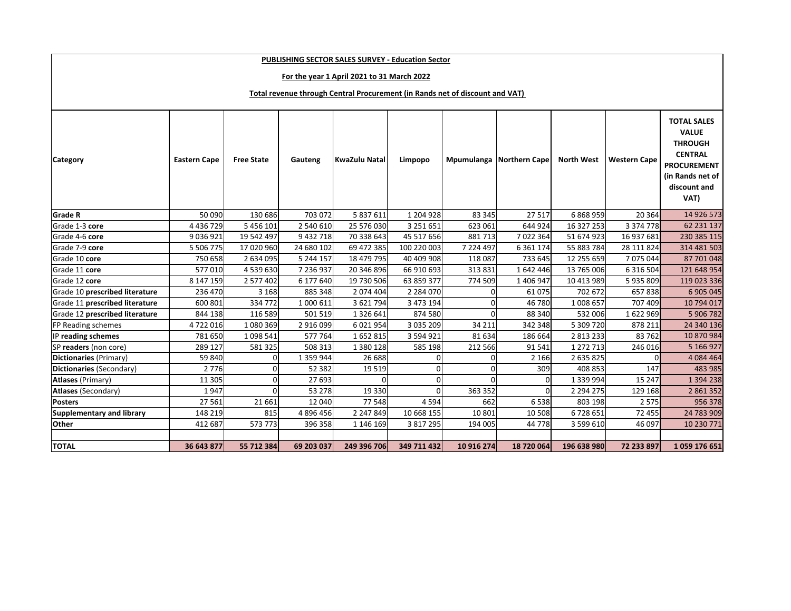| PUBLISHING SECTOR SALES SURVEY - Education Sector                            |                     |                   |               |                      |                |               |                          |                   |                     |                                                                                                                                          |  |
|------------------------------------------------------------------------------|---------------------|-------------------|---------------|----------------------|----------------|---------------|--------------------------|-------------------|---------------------|------------------------------------------------------------------------------------------------------------------------------------------|--|
| For the year 1 April 2021 to 31 March 2022                                   |                     |                   |               |                      |                |               |                          |                   |                     |                                                                                                                                          |  |
|                                                                              |                     |                   |               |                      |                |               |                          |                   |                     |                                                                                                                                          |  |
| Total revenue through Central Procurement (in Rands net of discount and VAT) |                     |                   |               |                      |                |               |                          |                   |                     |                                                                                                                                          |  |
| <b>Category</b>                                                              | <b>Eastern Cape</b> | <b>Free State</b> | Gauteng       | <b>KwaZulu Natal</b> | Limpopo        |               | Mpumulanga Northern Cape | <b>North West</b> | <b>Western Cape</b> | <b>TOTAL SALES</b><br><b>VALUE</b><br><b>THROUGH</b><br><b>CENTRAL</b><br><b>PROCUREMENT</b><br>(in Rands net of<br>discount and<br>VAT) |  |
| <b>Grade R</b>                                                               | 50 090              | 130 686           | 703 072       | 5 837 611            | 1 204 928      | 83 345        | 27517                    | 6868959           | 20 3 64             | 14 926 573                                                                                                                               |  |
| Grade 1-3 core                                                               | 4 4 3 6 7 2 9       | 5 456 101         | 2 540 610     | 25 576 030           | 3 2 5 1 6 5 1  | 623 061       | 644 924                  | 16 327 253        | 3 374 778           | 62 231 137                                                                                                                               |  |
| Grade 4-6 core                                                               | 9 0 3 6 9 2 1       | 19 542 497        | 9 432 718     | 70 338 643           | 45 517 656     | 881713        | 7022364                  | 51 674 923        | 16 937 681          | 230 385 115                                                                                                                              |  |
| Grade 7-9 core                                                               | 5 506 775           | 17 020 960        | 24 680 102    | 69 472 385           | 100 220 003    | 7 2 2 4 4 9 7 | 6 3 6 1 1 7 4            | 55 883 784        | 28 111 824          | 314 481 503                                                                                                                              |  |
| Grade 10 core                                                                | 750 658             | 2 634 095         | 5 244 157     | 18 479 795           | 40 409 908     | 118 087       | 733 645                  | 12 255 659        | 7 075 044           | 87 701 048                                                                                                                               |  |
| Grade 11 core                                                                | 577010              | 4 539 630         | 7 236 937     | 20 346 896           | 66 910 693     | 313 831       | 1642446                  | 13 765 006        | 6 3 1 6 5 0 4       | 121 648 954                                                                                                                              |  |
| Grade 12 core                                                                | 8 147 159           | 2 577 402         | 6 177 640     | 19 730 506           | 63 859 377     | 774 509       | 1 406 947                | 10 413 989        | 5935809             | 119 023 336                                                                                                                              |  |
| Grade 10 prescribed literature                                               | 236 470             | 3 1 6 8           | 885 348       | 2074 404             | 2 2 8 4 0 7 0  | O             | 61 075                   | 702 672           | 657838              | 6 905 045                                                                                                                                |  |
| Grade 11 prescribed literature                                               | 600 801             | 334 772           | 1 000 611     | 3 621 794            | 3 473 194      | $\Omega$      | 46 780                   | 1008 657          | 707 409             | 10 794 017                                                                                                                               |  |
| Grade 12 prescribed literature                                               | 844 138             | 116 589           | 501 519       | 1 3 2 6 6 4 1        | 874 580        | $\Omega$      | 88 340                   | 532 006           | 1622969             | 5 906 782                                                                                                                                |  |
| FP Reading schemes                                                           | 4722016             | 1080369           | 2 916 099     | 6 0 2 1 9 5 4        | 3 0 3 5 2 0 9  | 34 211        | 342 348                  | 5 309 720         | 878 211             | 24 340 136                                                                                                                               |  |
| IP reading schemes                                                           | 781 650             | 1098541           | 577 764       | 1652815              | 3 594 921      | 81 634        | 186 664                  | 2 813 233         | 83 762              | 10 870 984                                                                                                                               |  |
| SP readers (non core)                                                        | 289 127             | 581 325           | 508 313       | 1 380 128            | 585 198        | 212 566       | 91 541                   | 1 272 713         | 246 016             | 5 166 927                                                                                                                                |  |
| Dictionaries (Primary)                                                       | 59 840              | 0                 | 1 3 5 9 9 4 4 | 26 688               | 0              | 0             | 2 1 6 6                  | 2 635 825         |                     | 4 0 8 4 4 6 4                                                                                                                            |  |
| Dictionaries (Secondary)                                                     | 2 7 7 6             | $\Omega$          | 52 382        | 19 5 19              | $\mathbf 0$    | $\Omega$      | 309                      | 408 853           | 147                 | 483 985                                                                                                                                  |  |
| <b>Atlases (Primary)</b>                                                     | 11 305              | $\Omega$          | 27 693        |                      | $\overline{0}$ | $\Omega$      | $\Omega$                 | 1 3 3 9 9 9 4     | 15 247              | 1 394 238                                                                                                                                |  |
| <b>Atlases (Secondary)</b>                                                   | 1947                | $\Omega$          | 53 278        | 19 3 30              | $\Omega$       | 363 352       | $\Omega$                 | 2 2 9 4 2 7 5     | 129 168             | 2 861 352                                                                                                                                |  |
| <b>Posters</b>                                                               | 27 5 61             | 21 661            | 12 040        | 77 548               | 4 5 9 4        | 662           | 6538                     | 803 198           | 2 5 7 5             | 956 378                                                                                                                                  |  |
| <b>Supplementary and library</b>                                             | 148 219             | 815               | 4 8 9 6 4 5 6 | 2 2 4 7 8 4 9        | 10 668 155     | 10 801        | 10 508                   | 6728651           | 72 455              | 24 783 909                                                                                                                               |  |
| Other                                                                        | 412 687             | 573 773           | 396 358       | 1 146 169            | 3 817 295      | 194 005       | 44 7 78                  | 3 599 610         | 46 097              | 10 230 771                                                                                                                               |  |
|                                                                              |                     |                   |               |                      |                |               |                          |                   |                     |                                                                                                                                          |  |
| <b>TOTAL</b>                                                                 | 36 643 877          | 55 712 384        | 69 203 037    | 249 396 706          | 349 711 432    | 10 916 274    | 18 720 064               | 196 638 980       | 72 233 897          | 1059 176 651                                                                                                                             |  |